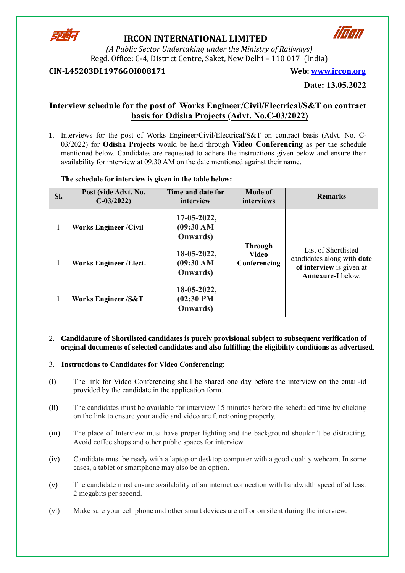

# **IRCON INTERNATIONAL LIMITED**



*(A Public Sector Undertaking under the Ministry of Railways)* Regd. Office: C-4, District Centre, Saket, New Delhi – 110 017 (India)

### **CIN-L45203DL1976GOI008171 Web: [www.ircon.org](http://www.ircon.org/)**

**Date: 13.05.2022**

### **Interview schedule for the post of Works Engineer/Civil/Electrical/S&T on contract basis for Odisha Projects (Advt. No.C-03/2022)**

1. Interviews for the post of Works Engineer/Civil/Electrical/S&T on contract basis (Advt. No. C-03/2022) for **Odisha Projects** would be held through **Video Conferencing** as per the schedule mentioned below. Candidates are requested to adhere the instructions given below and ensure their availability for interview at 09.30 AM on the date mentioned against their name.

**The schedule for interview is given in the table below:**

| SI.          | Post (vide Advt. No.<br>$C-03/2022$ | Time and date for<br>interview                               | <b>Mode of</b><br>interviews                   | <b>Remarks</b>                                                                                            |  |
|--------------|-------------------------------------|--------------------------------------------------------------|------------------------------------------------|-----------------------------------------------------------------------------------------------------------|--|
| 1            | <b>Works Engineer/Civil</b>         | $17-05-2022$ ,<br>(09:30 AM)<br><b>Onwards</b> )             |                                                |                                                                                                           |  |
| $\mathbf{1}$ | <b>Works Engineer / Elect.</b>      | $18-05-2022$ ,<br>(09:30 AM)<br><b>Onwards</b> )             | <b>Through</b><br><b>Video</b><br>Conferencing | List of Shortlisted<br>candidates along with date<br>of interview is given at<br><b>Annexure-I</b> below. |  |
| 1            | <b>Works Engineer/S&amp;T</b>       | $18-05-2022,$<br>(02:30 P <sub>M</sub> )<br><b>Onwards</b> ) |                                                |                                                                                                           |  |

#### 2. **Candidature of Shortlisted candidates is purely provisional subject to subsequent verification of original documents of selected candidates and also fulfilling the eligibility conditions as advertised**.

#### 3. **Instructions to Candidates for Video Conferencing:**

- (i) The link for Video Conferencing shall be shared one day before the interview on the email-id provided by the candidate in the application form.
- (ii) The candidates must be available for interview 15 minutes before the scheduled time by clicking on the link to ensure your audio and video are functioning properly.
- (iii) The place of Interview must have proper lighting and the background shouldn't be distracting. Avoid coffee shops and other public spaces for interview.
- (iv) Candidate must be ready with a laptop or desktop computer with a good quality webcam. In some cases, a tablet or smartphone may also be an option.
- (v) The candidate must ensure availability of an internet connection with bandwidth speed of at least 2 megabits per second.
- (vi) Make sure your cell phone and other smart devices are off or on silent during the interview.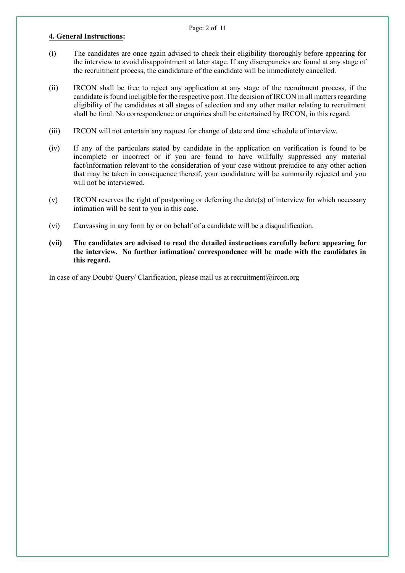#### Page: 2 of 11

#### **4. General Instructions:**

- (i) The candidates are once again advised to check their eligibility thoroughly before appearing for the interview to avoid disappointment at later stage. If any discrepancies are found at any stage of the recruitment process, the candidature of the candidate will be immediately cancelled.
- (ii) IRCON shall be free to reject any application at any stage of the recruitment process, if the candidate is found ineligible for the respective post. The decision of IRCON in all matters regarding eligibility of the candidates at all stages of selection and any other matter relating to recruitment shall be final. No correspondence or enquiries shall be entertained by IRCON, in this regard.
- (iii) IRCON will not entertain any request for change of date and time schedule of interview.
- (iv) If any of the particulars stated by candidate in the application on verification is found to be incomplete or incorrect or if you are found to have willfully suppressed any material fact/information relevant to the consideration of your case without prejudice to any other action that may be taken in consequence thereof, your candidature will be summarily rejected and you will not be interviewed.
- (v) IRCON reserves the right of postponing or deferring the date(s) of interview for which necessary intimation will be sent to you in this case.
- (vi) Canvassing in any form by or on behalf of a candidate will be a disqualification.
- **(vii) The candidates are advised to read the detailed instructions carefully before appearing for the interview. No further intimation/ correspondence will be made with the candidates in this regard.**

In case of any Doubt/ Query/ Clarification, please mail us at recruitment@ircon.org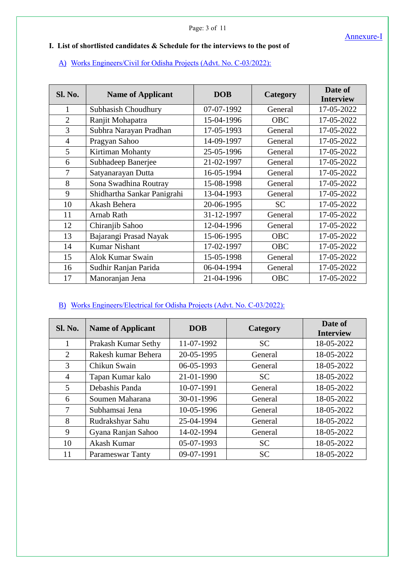### **I. List of shortlisted candidates & Schedule for the interviews to the post of**

### A) Works Engineers/Civil for Odisha Projects (Advt. No. C-03/2022):

| <b>Sl. No.</b> | <b>Name of Applicant</b>    | <b>DOB</b> | Category   | Date of<br><b>Interview</b> |
|----------------|-----------------------------|------------|------------|-----------------------------|
| $\mathbf{1}$   | Subhasish Choudhury         | 07-07-1992 | General    | 17-05-2022                  |
| $\overline{2}$ | Ranjit Mohapatra            | 15-04-1996 | <b>OBC</b> | 17-05-2022                  |
| 3              | Subhra Narayan Pradhan      | 17-05-1993 | General    | 17-05-2022                  |
| $\overline{4}$ | Pragyan Sahoo               | 14-09-1997 | General    | 17-05-2022                  |
| 5              | Kirtiman Mohanty            | 25-05-1996 | General    | 17-05-2022                  |
| 6              | Subhadeep Banerjee          | 21-02-1997 | General    | 17-05-2022                  |
| 7              | Satyanarayan Dutta          | 16-05-1994 | General    | 17-05-2022                  |
| 8              | Sona Swadhina Routray       | 15-08-1998 | General    | 17-05-2022                  |
| 9              | Shidhartha Sankar Panigrahi | 13-04-1993 | General    | 17-05-2022                  |
| 10             | Akash Behera                | 20-06-1995 | <b>SC</b>  | 17-05-2022                  |
| 11             | Arnab Rath                  | 31-12-1997 | General    | 17-05-2022                  |
| 12             | Chiranjib Sahoo             | 12-04-1996 | General    | 17-05-2022                  |
| 13             | Bajarangi Prasad Nayak      | 15-06-1995 | <b>OBC</b> | 17-05-2022                  |
| 14             | <b>Kumar Nishant</b>        | 17-02-1997 | <b>OBC</b> | 17-05-2022                  |
| 15             | Alok Kumar Swain            | 15-05-1998 | General    | 17-05-2022                  |
| 16             | Sudhir Ranjan Parida        | 06-04-1994 | General    | 17-05-2022                  |
| 17             | Manoranjan Jena             | 21-04-1996 | <b>OBC</b> | 17-05-2022                  |

## B) Works Engineers/Electrical for Odisha Projects (Advt. No. C-03/2022):

| <b>Sl. No.</b> | <b>Name of Applicant</b> | <b>DOB</b> | Category  | Date of<br><b>Interview</b> |
|----------------|--------------------------|------------|-----------|-----------------------------|
|                | Prakash Kumar Sethy      | 11-07-1992 | <b>SC</b> | 18-05-2022                  |
| 2              | Rakesh kumar Behera      | 20-05-1995 | General   | 18-05-2022                  |
| 3              | Chikun Swain             | 06-05-1993 | General   | 18-05-2022                  |
| $\overline{4}$ | Tapan Kumar kalo         | 21-01-1990 | <b>SC</b> | 18-05-2022                  |
| 5              | Debashis Panda           | 10-07-1991 | General   | 18-05-2022                  |
| 6              | Soumen Maharana          | 30-01-1996 | General   | 18-05-2022                  |
| 7              | Subhamsai Jena           | 10-05-1996 | General   | 18-05-2022                  |
| 8              | Rudrakshyar Sahu         | 25-04-1994 | General   | 18-05-2022                  |
| 9              | Gyana Ranjan Sahoo       | 14-02-1994 | General   | 18-05-2022                  |
| 10             | Akash Kumar              | 05-07-1993 | <b>SC</b> | 18-05-2022                  |
| 11             | <b>Parameswar Tanty</b>  | 09-07-1991 | <b>SC</b> | 18-05-2022                  |